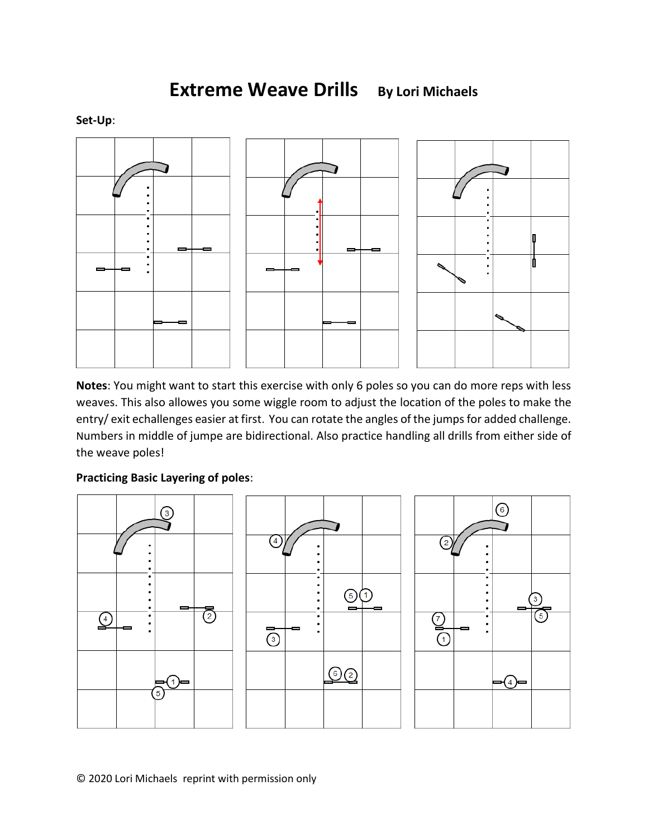**Extreme Weave Drills By Lori Michaels**



**Notes**: You might want to start this exercise with only 6 poles so you can do more reps with less weaves. This also allowes you some wiggle room to adjust the location of the poles to make the entry/ exit echallenges easier at first. You can rotate the angles of the jumps for added challenge. Numbers in middle of jumpe are bidirectional. Also practice handling all drills from either side of the weave poles!

## **Practicing Basic Layering of poles**:



© 2020 Lori Michaels reprint with permission only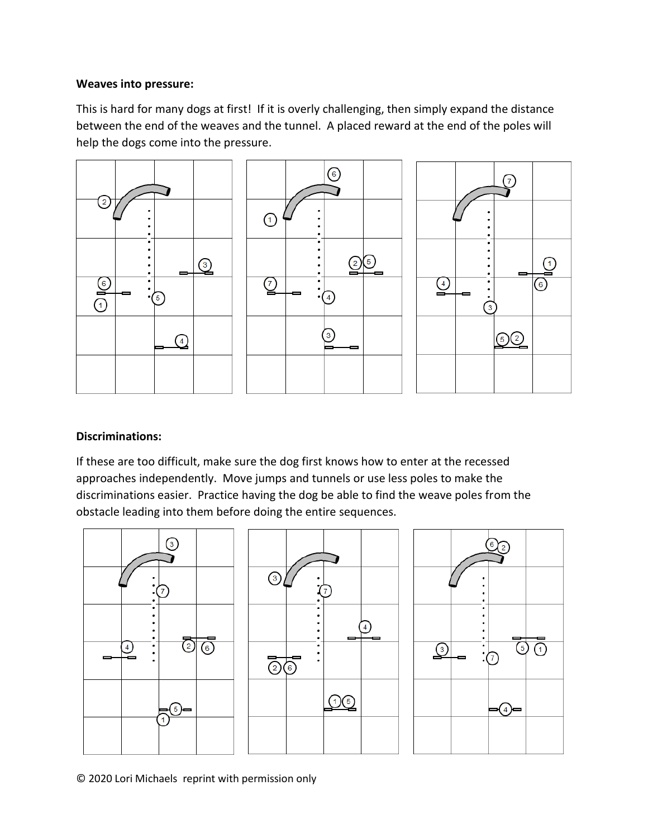## **Weaves into pressure:**

This is hard for many dogs at first! If it is overly challenging, then simply expand the distance between the end of the weaves and the tunnel. A placed reward at the end of the poles will help the dogs come into the pressure.



## **Discriminations:**

If these are too difficult, make sure the dog first knows how to enter at the recessed approaches independently. Move jumps and tunnels or use less poles to make the discriminations easier. Practice having the dog be able to find the weave poles from the obstacle leading into them before doing the entire sequences.